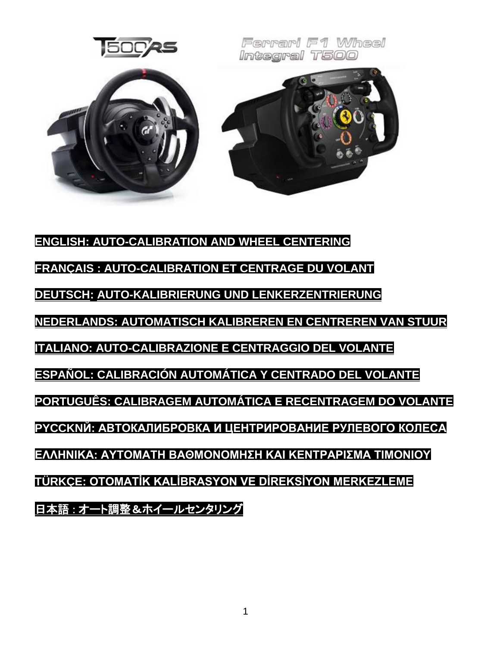

<span id="page-0-0"></span>**[ENGLISH: AUTO-CALIBRATION AND WHEEL CENTERING](#page-0-0) FRANÇAIS [: AUTO-CALIBRATION ET CENTRAGE DU VOLANT](#page-2-0)  [DEUTSCH: AUTO-KALIBRIERUNG UND](#page-3-0) LENKERZENTRIERUN[G](#page-3-0) [NEDERLANDS: AUTOMATISCH KALIBREREN EN CENTREREN VAN STUUR](#page-4-0) [ITALIANO: AUTO-CALIBRAZIONE E CENTRAGGIO DEL VOLANTE](#page-5-0) [ESPAÑOL: CALIBRACIÓN AUTOMÁTICA Y CENTRADO DEL VOLANTE](#page-6-0) [PORTUGUÊS: CALIBRAGEM AUTOMÁTICA E RECENTRAGEM DO VOLANTE](#page-7-0) [PYCCKNЙ: АВТОКАЛИБРОВКА](#page-8-0) И ЦЕНТРИРОВАНИЕ РУЛЕВОГО КОЛЕСА [ΕΛΛΗΝΙΚΑ: ΑΥΤΟΜΑΤΗ ΒΑΘΜΟΝΟΜΗΣΗ ΚΑΙ ΚΕΝΤΡΑΡΙΣΜΑ ΤΙΜΟΝΙΟΥ](#page-9-0) [TÜRKÇE: OTOMATİK KALİBRASYON VE DİREKSİYON MERKEZLEME](#page-10-0)** 日本語 : [オート調整&ホイールセンタリング](#page-11-0)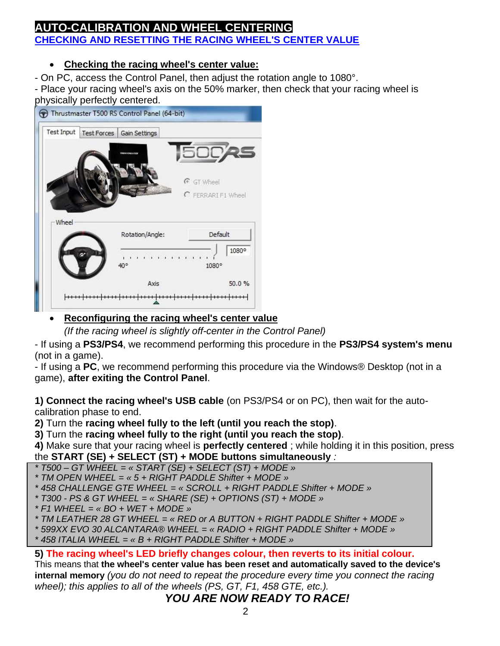## **[AUTO-CALIBRATION AND WHEEL CENTERING](#page-0-0) CHECKING AND RESETTING THE RACING WHEEL'S CENTER VALUE**

## • **Checking the racing wheel's center value:**

- On PC, access the Control Panel, then adjust the rotation angle to 1080°.

- Place your racing wheel's axis on the 50% marker, then check that your racing wheel is physically perfectly centered.

| <b>Test Input</b> | Test Forces<br>Gain Settings |                    |
|-------------------|------------------------------|--------------------|
|                   |                              | <b>50025</b>       |
|                   |                              | C GT Wheel         |
|                   |                              |                    |
|                   |                              | C FERRARI F1 Wheel |
| Wheel             |                              |                    |
|                   | Rotation/Angle:              | Default            |
|                   | 40°                          | 1080°<br>1080°     |

## • **Reconfiguring the racing wheel's center value**

*(If the racing wheel is slightly off-center in the Control Panel)*

- If using a **PS3/PS4**, we recommend performing this procedure in the **PS3/PS4 system's menu** (not in a game).

- If using a **PC**, we recommend performing this procedure via the Windows® Desktop (not in a game), **after exiting the Control Panel**.

**1) Connect the racing wheel's USB cable** (on PS3/PS4 or on PC), then wait for the autocalibration phase to end.

**2)** Turn the **racing wheel fully to the left (until you reach the stop)**.

**3)** Turn the **racing wheel fully to the right (until you reach the stop)**.

**4)** Make sure that your racing wheel is **perfectly centered** ; while holding it in this position, press the **START (SE) + SELECT (ST) + MODE buttons simultaneously** *:*

*\* T500 – GT WHEEL = « START (SE) + SELECT (ST) + MODE »*

*\* TM OPEN WHEEL = « 5 + RIGHT PADDLE Shifter + MODE »*

*\* 458 CHALLENGE GTE WHEEL = « SCROLL + RIGHT PADDLE Shifter + MODE »*

- *\* T300 - PS & GT WHEEL = « SHARE (SE) + OPTIONS (ST) + MODE »*
- *\* F1 WHEEL = « BO + WET + MODE »*

*\* TM LEATHER 28 GT WHEEL = « RED or A BUTTON + RIGHT PADDLE Shifter + MODE »*

*\* 599XX EVO 30 ALCANTARA® WHEEL = « RADIO + RIGHT PADDLE Shifter + MODE »*

*\* 458 ITALIA WHEEL = « B + RIGHT PADDLE Shifter + MODE »*

## **5) The racing wheel's LED briefly changes colour, then reverts to its initial colour.**

This means that **the wheel's center value has been reset and automatically saved to the device's internal memory** *(you do not need to repeat the procedure every time you connect the racing wheel); this applies to all of the wheels (PS, GT, F1, 458 GTE, etc.).*

# *YOU ARE NOW READY TO RACE!*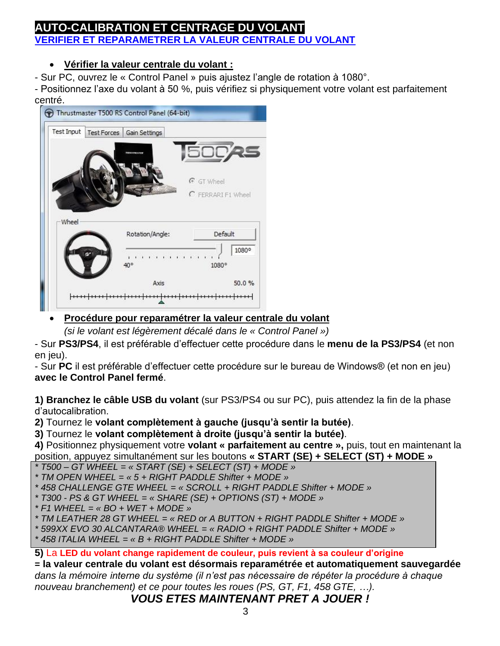## <span id="page-2-0"></span>**AUTO-CALIBRATION ET CENTRAGE DU VOLANT VERIFIER ET REPARAMETRER LA VALEUR CENTRALE DU VOLANT**

## • **Vérifier la valeur centrale du volant :**

- Sur PC, ouvrez le « Control Panel » puis ajustez l'angle de rotation à 1080°.

- Positionnez l'axe du volant à 50 %, puis vérifiez si physiquement votre volant est parfaitement centré.



# • **Procédure pour reparamétrer la valeur centrale du volant**

*(si le volant est légèrement décalé dans le « Control Panel »)*

- Sur **PS3/PS4**, il est préférable d'effectuer cette procédure dans le **menu de la PS3/PS4** (et non en jeu).

- Sur **PC** il est préférable d'effectuer cette procédure sur le bureau de Windows® (et non en jeu) **avec le Control Panel fermé**.

**1) Branchez le câble USB du volant** (sur PS3/PS4 ou sur PC), puis attendez la fin de la phase d'autocalibration.

**2)** Tournez le **volant complètement à gauche (jusqu'à sentir la butée)**.

**3)** Tournez le **volant complètement à droite (jusqu'à sentir la butée)**.

**4)** Positionnez physiquement votre **volant « parfaitement au centre »,** puis, tout en maintenant la position, appuyez simultanément sur les boutons **« START (SE) + SELECT (ST) + MODE »**

*\* T500 – GT WHEEL = « START (SE) + SELECT (ST) + MODE »*

*\* TM OPEN WHEEL = « 5 + RIGHT PADDLE Shifter + MODE »*

*\* 458 CHALLENGE GTE WHEEL = « SCROLL + RIGHT PADDLE Shifter + MODE »*

*\* T300 - PS & GT WHEEL = « SHARE (SE) + OPTIONS (ST) + MODE »*

*\* F1 WHEEL = « BO + WET + MODE »*

*\* TM LEATHER 28 GT WHEEL = « RED or A BUTTON + RIGHT PADDLE Shifter + MODE »*

*\* 599XX EVO 30 ALCANTARA® WHEEL = « RADIO + RIGHT PADDLE Shifter + MODE »*

*\* 458 ITALIA WHEEL = « B + RIGHT PADDLE Shifter + MODE »*

**5)** La **LED du volant change rapidement de couleur, puis revient à sa couleur d'origine**

**= la valeur centrale du volant est désormais reparamétrée et automatiquement sauvegardée**  *dans la mémoire interne du système (il n'est pas nécessaire de répéter la procédure à chaque nouveau branchement) et ce pour toutes les roues (PS, GT, F1, 458 GTE, …).*

*VOUS ETES MAINTENANT PRET A JOUER !*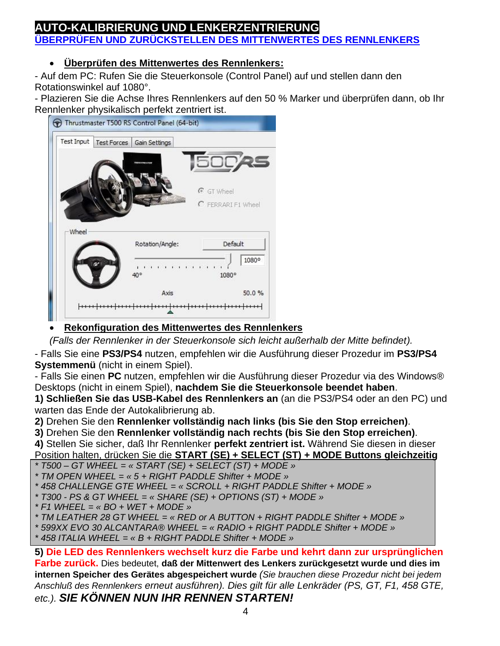# <span id="page-3-0"></span>**AUTO-KALIBRIERUNG UND LENKERZENTRIERUNG ÜBERPRÜFEN UND ZURÜCKSTELLEN DES MITTENWERTES DES RENNLENKERS**

# • **Überprüfen des Mittenwertes des Rennlenkers:**

- Auf dem PC: Rufen Sie die Steuerkonsole (Control Panel) auf und stellen dann den Rotationswinkel auf 1080°.

- Plazieren Sie die Achse Ihres Rennlenkers auf den 50 % Marker und überprüfen dann, ob Ihr Rennlenker physikalisch perfekt zentriert ist.



## • **Rekonfiguration des Mittenwertes des Rennlenkers**

*(Falls der Rennlenker in der Steuerkonsole sich leicht außerhalb der Mitte befindet).*

- Falls Sie eine **PS3/PS4** nutzen, empfehlen wir die Ausführung dieser Prozedur im **PS3/PS4 Systemmenü** (nicht in einem Spiel).

- Falls Sie einen **PC** nutzen, empfehlen wir die Ausführung dieser Prozedur via des Windows® Desktops (nicht in einem Spiel), **nachdem Sie die Steuerkonsole beendet haben**.

**1) Schließen Sie das USB-Kabel des Rennlenkers an** (an die PS3/PS4 oder an den PC) und warten das Ende der Autokalibrierung ab.

**2)** Drehen Sie den **Rennlenker vollständig nach links (bis Sie den Stop erreichen)**.

**3)** Drehen Sie den **Rennlenker vollständig nach rechts (bis Sie den Stop erreichen)**.

**4)** Stellen Sie sicher, daß Ihr Rennlenker **perfekt zentriert ist.** Während Sie diesen in dieser Position halten, drücken Sie die **START (SE) + SELECT (ST) + MODE Buttons gleichzeitig**

*\* T500 – GT WHEEL = « START (SE) + SELECT (ST) + MODE » \* TM OPEN WHEEL = « 5 + RIGHT PADDLE Shifter + MODE »*

*\* 458 CHALLENGE GTE WHEEL = « SCROLL + RIGHT PADDLE Shifter + MODE »*

- *\* T300 - PS & GT WHEEL = « SHARE (SE) + OPTIONS (ST) + MODE »*
- *\* F1 WHEEL = « BO + WET + MODE »*
- *\* TM LEATHER 28 GT WHEEL = « RED or A BUTTON + RIGHT PADDLE Shifter + MODE »*

*\* 599XX EVO 30 ALCANTARA® WHEEL = « RADIO + RIGHT PADDLE Shifter + MODE »*

*\* 458 ITALIA WHEEL = « B + RIGHT PADDLE Shifter + MODE »*

**5) Die LED des Rennlenkers wechselt kurz die Farbe und kehrt dann zur ursprünglichen Farbe zurück.** Dies bedeutet, **daß der Mittenwert des Lenkers zurückgesetzt wurde und dies im internen Speicher des Gerätes abgespeichert wurde** *(Sie brauchen diese Prozedur nicht bei jedem Anschluß des Rennlenkers erneut ausführen). Dies gilt für alle Lenkräder (PS, GT, F1, 458 GTE, etc.). SIE KÖNNEN NUN IHR RENNEN STARTEN!*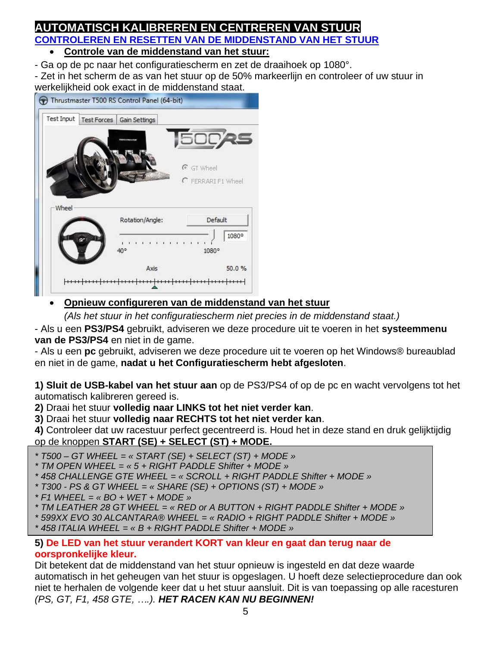#### <span id="page-4-0"></span>**AUTOMATISCH KALIBREREN EN CENTREREN VAN STUUR CONTROLEREN EN RESETTEN VAN DE MIDDENSTAND VAN HET STUUR** • **Controle van de middenstand van het stuur:**

- Ga op de pc naar het configuratiescherm en zet de draaihoek op 1080°.

- Zet in het scherm de as van het stuur op de 50% markeerlijn en controleer of uw stuur in werkelijkheid ook exact in de middenstand staat.

| <b>Test Input</b> | <b>Test Forces</b><br>Gain Settings | 50025              |
|-------------------|-------------------------------------|--------------------|
|                   |                                     | C GT Wheel         |
|                   |                                     | C FERRARI F1 Wheel |
|                   |                                     |                    |
| -Wheel            | Rotation/Angle:                     | Default            |
|                   | .<br>40°                            | 1080°<br>1080°     |

## • **Opnieuw configureren van de middenstand van het stuur**

*(Als het stuur in het configuratiescherm niet precies in de middenstand staat.)*

- Als u een **PS3/PS4** gebruikt, adviseren we deze procedure uit te voeren in het **systeemmenu van de PS3/PS4** en niet in de game.

- Als u een **pc** gebruikt, adviseren we deze procedure uit te voeren op het Windows® bureaublad en niet in de game, **nadat u het Configuratiescherm hebt afgesloten**.

**1) Sluit de USB-kabel van het stuur aan** op de PS3/PS4 of op de pc en wacht vervolgens tot het automatisch kalibreren gereed is.

**2)** Draai het stuur **volledig naar LINKS tot het niet verder kan**.

**3)** Draai het stuur **volledig naar RECHTS tot het niet verder kan**.

**4)** Controleer dat uw racestuur perfect gecentreerd is. Houd het in deze stand en druk gelijktijdig op de knoppen **START (SE) + SELECT (ST) + MODE.**

*\* T500 – GT WHEEL = « START (SE) + SELECT (ST) + MODE »*

- *\* TM OPEN WHEEL = « 5 + RIGHT PADDLE Shifter + MODE »*
- *\* 458 CHALLENGE GTE WHEEL = « SCROLL + RIGHT PADDLE Shifter + MODE »*
- *\* T300 - PS & GT WHEEL = « SHARE (SE) + OPTIONS (ST) + MODE »*
- *\* F1 WHEEL = « BO + WET + MODE »*

*\* TM LEATHER 28 GT WHEEL = « RED or A BUTTON + RIGHT PADDLE Shifter + MODE »*

- *\* 599XX EVO 30 ALCANTARA® WHEEL = « RADIO + RIGHT PADDLE Shifter + MODE »*
- *\* 458 ITALIA WHEEL = « B + RIGHT PADDLE Shifter + MODE »*

#### **5) De LED van het stuur verandert KORT van kleur en gaat dan terug naar de oorspronkelijke kleur.**

Dit betekent dat de middenstand van het stuur opnieuw is ingesteld en dat deze waarde automatisch in het geheugen van het stuur is opgeslagen. U hoeft deze selectieprocedure dan ook niet te herhalen de volgende keer dat u het stuur aansluit. Dit is van toepassing op alle racesturen *(PS, GT, F1, 458 GTE, ….). HET RACEN KAN NU BEGINNEN!*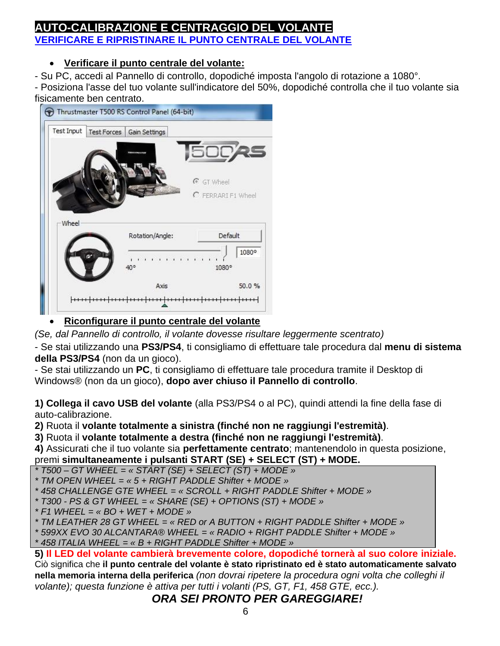## <span id="page-5-0"></span>AUTO-CALIBRAZIONE E CENTRAGGIO DEL VOL **VERIFICARE E RIPRISTINARE IL PUNTO CENTRALE DEL VOLANTE**

## • **Verificare il punto centrale del volante:**

- Su PC, accedi al Pannello di controllo, dopodiché imposta l'angolo di rotazione a 1080°.

- Posiziona l'asse del tuo volante sull'indicatore del 50%, dopodiché controlla che il tuo volante sia fisicamente ben centrato.



## • **Riconfigurare il punto centrale del volante**

*(Se, dal Pannello di controllo, il volante dovesse risultare leggermente scentrato)*

- Se stai utilizzando una **PS3/PS4**, ti consigliamo di effettuare tale procedura dal **menu di sistema della PS3/PS4** (non da un gioco).

- Se stai utilizzando un **PC**, ti consigliamo di effettuare tale procedura tramite il Desktop di Windows® (non da un gioco), **dopo aver chiuso il Pannello di controllo**.

**1) Collega il cavo USB del volante** (alla PS3/PS4 o al PC), quindi attendi la fine della fase di auto-calibrazione.

**2)** Ruota il **volante totalmente a sinistra (finché non ne raggiungi l'estremità)**.

**3)** Ruota il **volante totalmente a destra (finché non ne raggiungi l'estremità)**.

**4)** Assicurati che il tuo volante sia **perfettamente centrato**; mantenendolo in questa posizione, premi **simultaneamente i pulsanti START (SE) + SELECT (ST) + MODE.**

*\* T500 – GT WHEEL = « START (SE) + SELECT (ST) + MODE »*

*\* TM OPEN WHEEL = « 5 + RIGHT PADDLE Shifter + MODE »*

*\* 458 CHALLENGE GTE WHEEL = « SCROLL + RIGHT PADDLE Shifter + MODE »*

*\* T300 - PS & GT WHEEL = « SHARE (SE) + OPTIONS (ST) + MODE »*

*\* F1 WHEEL = « BO + WET + MODE »*

*\* TM LEATHER 28 GT WHEEL = « RED or A BUTTON + RIGHT PADDLE Shifter + MODE »*

*\* 599XX EVO 30 ALCANTARA® WHEEL = « RADIO + RIGHT PADDLE Shifter + MODE »*

*\* 458 ITALIA WHEEL = « B + RIGHT PADDLE Shifter + MODE »*

**5) Il LED del volante cambierà brevemente colore, dopodiché tornerà al suo colore iniziale.** Ciò significa che **il punto centrale del volante è stato ripristinato ed è stato automaticamente salvato nella memoria interna della periferica** *(non dovrai ripetere la procedura ogni volta che colleghi il volante); questa funzione è attiva per tutti i volanti (PS, GT, F1, 458 GTE, ecc.).*

## *ORA SEI PRONTO PER GAREGGIARE!*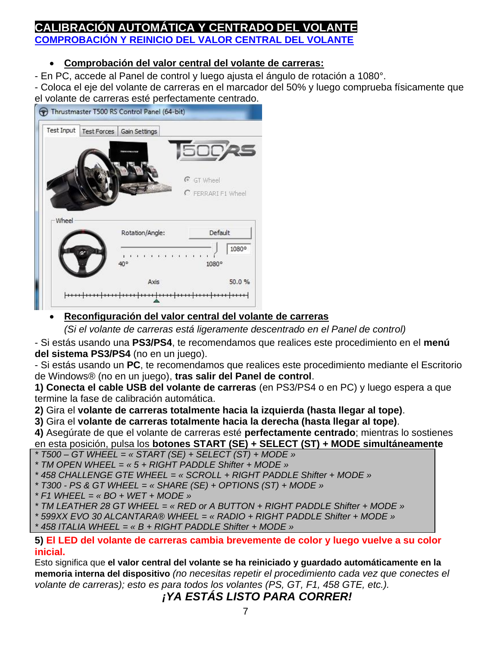## <span id="page-6-0"></span>**CALIBRACION AUTOMATICA Y CENTRADO DEL VOLA COMPROBACIÓN Y REINICIO DEL VALOR CENTRAL DEL VOLANTE**

## • **Comprobación del valor central del volante de carreras:**

- En PC, accede al Panel de control y luego ajusta el ángulo de rotación a 1080°.
- Coloca el eje del volante de carreras en el marcador del 50% y luego comprueba físicamente que el volante de carreras esté perfectamente centrado.



## • **Reconfiguración del valor central del volante de carreras**

*(Si el volante de carreras está ligeramente descentrado en el Panel de control)*

- Si estás usando una **PS3/PS4**, te recomendamos que realices este procedimiento en el **menú del sistema PS3/PS4** (no en un juego).

- Si estás usando un **PC**, te recomendamos que realices este procedimiento mediante el Escritorio de Windows® (no en un juego), **tras salir del Panel de control**.

**1) Conecta el cable USB del volante de carreras** (en PS3/PS4 o en PC) y luego espera a que termine la fase de calibración automática.

**2)** Gira el **volante de carreras totalmente hacia la izquierda (hasta llegar al tope)**.

**3)** Gira el **volante de carreras totalmente hacia la derecha (hasta llegar al tope)**.

**4)** Asegúrate de que el volante de carreras esté **perfectamente centrado**; mientras lo sostienes en esta posición, pulsa los **botones START (SE) + SELECT (ST) + MODE simultáneamente** 

*\* T500 – GT WHEEL = « START (SE) + SELECT (ST) + MODE »*

- *\* TM OPEN WHEEL = « 5 + RIGHT PADDLE Shifter + MODE »*
- *\* 458 CHALLENGE GTE WHEEL = « SCROLL + RIGHT PADDLE Shifter + MODE »*
- *\* T300 - PS & GT WHEEL = « SHARE (SE) + OPTIONS (ST) + MODE »*
- *\* F1 WHEEL = « BO + WET + MODE »*

*\* TM LEATHER 28 GT WHEEL = « RED or A BUTTON + RIGHT PADDLE Shifter + MODE »*

*\* 599XX EVO 30 ALCANTARA® WHEEL = « RADIO + RIGHT PADDLE Shifter + MODE »*

*\* 458 ITALIA WHEEL = « B + RIGHT PADDLE Shifter + MODE »*

#### **5) El LED del volante de carreras cambia brevemente de color y luego vuelve a su color inicial.**

Esto significa que **el valor central del volante se ha reiniciado y guardado automáticamente en la memoria interna del dispositivo** *(no necesitas repetir el procedimiento cada vez que conectes el volante de carreras); esto es para todos los volantes (PS, GT, F1, 458 GTE, etc.).*

*¡YA ESTÁS LISTO PARA CORRER!*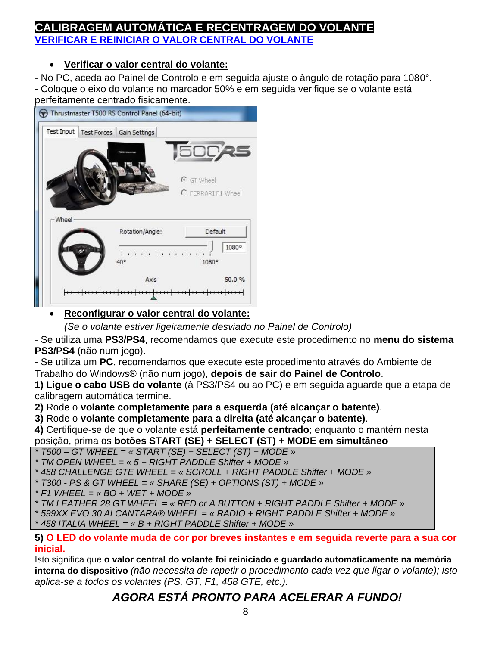## <span id="page-7-0"></span>**CALIBRAGEM AUTOMÁTICA E RECENTRAGEM DO VOLANTE VERIFICAR E REINICIAR O VALOR CENTRAL DO VOLANTE**

## • **Verificar o valor central do volante:**

- No PC, aceda ao Painel de Controlo e em seguida ajuste o ângulo de rotação para 1080°. - Coloque o eixo do volante no marcador 50% e em seguida verifique se o volante está perfeitamente centrado fisicamente.



### • **Reconfigurar o valor central do volante:**

*(Se o volante estiver ligeiramente desviado no Painel de Controlo)*

- Se utiliza uma **PS3/PS4**, recomendamos que execute este procedimento no **menu do sistema PS3/PS4** (não num jogo).

- Se utiliza um **PC**, recomendamos que execute este procedimento através do Ambiente de Trabalho do Windows® (não num jogo), **depois de sair do Painel de Controlo**.

**1) Ligue o cabo USB do volante** (à PS3/PS4 ou ao PC) e em seguida aguarde que a etapa de calibragem automática termine.

**2)** Rode o **volante completamente para a esquerda (até alcançar o batente)**.

**3)** Rode o **volante completamente para a direita (até alcançar o batente)**.

**4)** Certifique-se de que o volante está **perfeitamente centrado**; enquanto o mantém nesta posição, prima os **botões START (SE) + SELECT (ST) + MODE em simultâneo**

- *\* T500 – GT WHEEL = « START (SE) + SELECT (ST) + MODE »*
- *\* TM OPEN WHEEL = « 5 + RIGHT PADDLE Shifter + MODE »*
- *\* 458 CHALLENGE GTE WHEEL = « SCROLL + RIGHT PADDLE Shifter + MODE »*
- *\* T300 - PS & GT WHEEL = « SHARE (SE) + OPTIONS (ST) + MODE »*
- *\* F1 WHEEL = « BO + WET + MODE »*

*\* TM LEATHER 28 GT WHEEL = « RED or A BUTTON + RIGHT PADDLE Shifter + MODE »*

- *\* 599XX EVO 30 ALCANTARA® WHEEL = « RADIO + RIGHT PADDLE Shifter + MODE »*
- *\* 458 ITALIA WHEEL = « B + RIGHT PADDLE Shifter + MODE »*

#### **5) O LED do volante muda de cor por breves instantes e em seguida reverte para a sua cor inicial.**

Isto significa que **o valor central do volante foi reiniciado e guardado automaticamente na memória interna do dispositivo** *(não necessita de repetir o procedimento cada vez que ligar o volante); isto aplica-se a todos os volantes (PS, GT, F1, 458 GTE, etc.).*

# *AGORA ESTÁ PRONTO PARA ACELERAR A FUNDO!*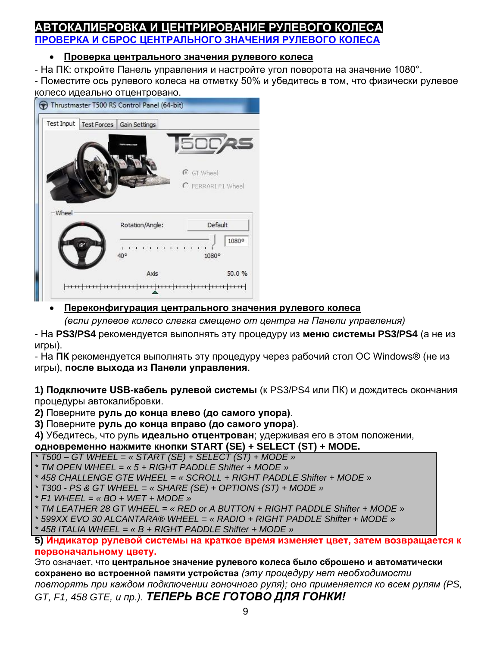## <span id="page-8-0"></span>ОКАЛИБРОВКА И ЦЕНТРИРОВАНИЕ РУЛЕВОГО **( ПРОВЕРКА И СБРОС ЦЕНТРАЛЬНОГО ЗНАЧЕНИЯ РУЛЕВОГО КОЛЕСА**

### • **Проверка центрального значения рулевого колеса**

- На ПК: откройте Панель управления и настройте угол поворота на значение 1080°.

- Поместите ось рулевого колеса на отметку 50% и убедитесь в том, что физически рулевое колесо идеально отцентровано.



## • **Переконфигурация центрального значения рулевого колеса**

*(если рулевое колесо слегка смещено от центра на Панели управления)*

- На **PS3/PS4** рекомендуется выполнять эту процедуру из **меню системы PS3/PS4** (а не из игры).

- На **ПК** рекомендуется выполнять эту процедуру через рабочий стол ОС Windows® (не из игры), **после выхода из Панели управления**.

**1) Подключите USB-кабель рулевой системы** (к PS3/PS4 или ПК) и дождитесь окончания процедуры автокалибровки.

**2)** Поверните **руль до конца влево (до самого упора)**.

**3)** Поверните **руль до конца вправо (до самого упора)**.

**4)** Убедитесь, что руль **идеально отцентрован**; удерживая его в этом положении, **одновременно нажмите кнопки START (SE) + SELECT (ST) + MODE.**

*\* T500 – GT WHEEL = « START (SE) + SELECT (ST) + MODE »*

*\* TM OPEN WHEEL = « 5 + RIGHT PADDLE Shifter + MODE »*

*\* 458 CHALLENGE GTE WHEEL = « SCROLL + RIGHT PADDLE Shifter + MODE »*

*\* T300 - PS & GT WHEEL = « SHARE (SE) + OPTIONS (ST) + MODE »*

*\* F1 WHEEL = « BO + WET + MODE »*

*\* TM LEATHER 28 GT WHEEL = « RED or A BUTTON + RIGHT PADDLE Shifter + MODE »*

*\* 599XX EVO 30 ALCANTARA® WHEEL = « RADIO + RIGHT PADDLE Shifter + MODE »*

*\* 458 ITALIA WHEEL = « B + RIGHT PADDLE Shifter + MODE »*

#### **5) Индикатор рулевой системы на краткое время изменяет цвет, затем возвращается к первоначальному цвету.**

Это означает, что **центральное значение рулевого колеса было сброшено и автоматически сохранено во встроенной памяти устройства** *(эту процедуру нет необходимости повторять при каждом подключении гоночного руля); оно применяется ко всем рулям (PS, GT, F1, 458 GTE, и пр.). ТЕПЕРЬ ВСЕ ГОТОВО ДЛЯ ГОНКИ!*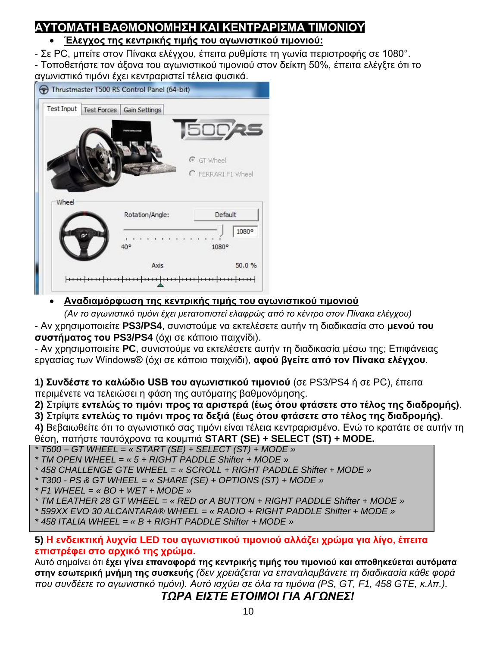# <span id="page-9-0"></span>**ΑΥΤΟΜΑΤΗ ΒΑΘΜΟΝΟΜΗΣΗ ΚΑΙ ΚΕΝΤΡΑΡΙΣΜΑ ΤΙΜΟΝΙΟΥ**

## • **Έλεγχος της κεντρικής τιμής του αγωνιστικού τιμονιού:**

- Σε PC, μπείτε στον Πίνακα ελέγχου, έπειτα ρυθμίστε τη γωνία περιστροφής σε 1080°. - Τοποθετήστε τον άξονα του αγωνιστικού τιμονιού στον δείκτη 50%, έπειτα ελέγξτε ότι το αγωνιστικό τιμόνι έχει κεντραριστεί τέλεια φυσικά.

| <b>Test Input</b> | Test Forces<br>Gain Settings | <b>500AS</b>       |
|-------------------|------------------------------|--------------------|
|                   |                              |                    |
|                   |                              | <b>C</b> GT Wheel  |
|                   |                              |                    |
|                   |                              | C FERRARI F1 Wheel |
| Wheel             |                              |                    |
|                   | Rotation/Angle:              | Default            |
|                   | 40°                          | 1080°<br>1080°     |

## • **Αναδιαμόρφωση της κεντρικής τιμής του αγωνιστικού τιμονιού**

*(Αν το αγωνιστικό τιμόνι έχει μετατοπιστεί ελαφρώς από το κέντρο στον Πίνακα ελέγχου)*

- Αν χρησιμοποιείτε **PS3/PS4**, συνιστούμε να εκτελέσετε αυτήν τη διαδικασία στο **μενού του συστήματος του PS3/PS4** (όχι σε κάποιο παιχνίδι).

- Αν χρησιμοποιείτε **PC**, συνιστούμε να εκτελέσετε αυτήν τη διαδικασία μέσω της; Επιφάνειας εργασίας των Windows® (όχι σε κάποιο παιχνίδι), **αφού βγείτε από τον Πίνακα ελέγχου**.

**1) Συνδέστε το καλώδιο USB του αγωνιστικού τιμονιού** (σε PS3/PS4 ή σε PC), έπειτα περιμένετε να τελειώσει η φάση της αυτόματης βαθμονόμησης.

**2)** Στρίψτε **εντελώς το τιμόνι προς τα αριστερά (έως ότου φτάσετε στο τέλος της διαδρομής)**.

**3)** Στρίψτε **εντελώς το τιμόνι προς τα δεξιά (έως ότου φτάσετε στο τέλος της διαδρομής)**.

**4)** Βεβαιωθείτε ότι το αγωνιστικό σας τιμόνι είναι τέλεια κεντραρισμένο. Ενώ το κρατάτε σε αυτήν τη θέση, πατήστε ταυτόχρονα τα κουμπιά **START (SE) + SELECT (ST) + MODE.**

- *\* T500 – GT WHEEL = « START (SE) + SELECT (ST) + MODE »*
- *\* TM OPEN WHEEL = « 5 + RIGHT PADDLE Shifter + MODE »*

*\* 458 CHALLENGE GTE WHEEL = « SCROLL + RIGHT PADDLE Shifter + MODE »*

- *\* T300 - PS & GT WHEEL = « SHARE (SE) + OPTIONS (ST) + MODE »*
- *\* F1 WHEEL = « BO + WET + MODE »*
- *\* TM LEATHER 28 GT WHEEL = « RED or A BUTTON + RIGHT PADDLE Shifter + MODE »*
- *\* 599XX EVO 30 ALCANTARA® WHEEL = « RADIO + RIGHT PADDLE Shifter + MODE »*
- *\* 458 ITALIA WHEEL = « B + RIGHT PADDLE Shifter + MODE »*

## **5) Η ενδεικτική λυχνία LED του αγωνιστικού τιμονιού αλλάζει χρώμα για λίγο, έπειτα επιστρέφει στο αρχικό της χρώμα.**

Αυτό σημαίνει ότι **έχει γίνει επαναφορά της κεντρικής τιμής του τιμονιού και αποθηκεύεται αυτόματα στην εσωτερική μνήμη της συσκευής** *(δεν χρειάζεται να επαναλαμβάνετε τη διαδικασία κάθε φορά που συνδέετε το αγωνιστικό τιμόνι). Αυτό ισχύει σε όλα τα τιμόνια (PS, GT, F1, 458 GTE, κ.λπ.).*

*ΤΩΡΑ ΕΙΣΤΕ ΕΤΟΙΜΟΙ ΓΙΑ ΑΓΩΝΕΣ!*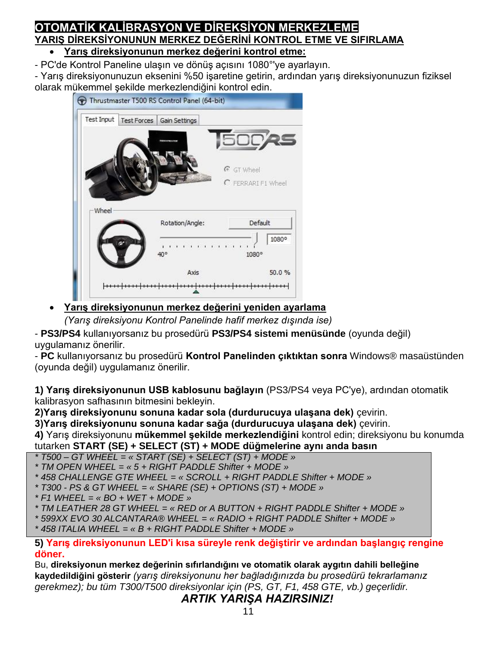### <span id="page-10-0"></span>**OTOMATİK KALİBRASYON VE DİREKSİYON MERKEZLEME YARIŞ DİREKSİYONUNUN MERKEZ DEĞERİNİ KONTROL ETME VE SIFIRLAMA** • **Yarış direksiyonunun merkez değerini kontrol etme:**

- PC'de Kontrol Paneline ulaşın ve dönüş açısını 1080°'ye ayarlayın.

- Yarış direksiyonunuzun eksenini %50 işaretine getirin, ardından yarış direksiyonunuzun fiziksel olarak mükemmel şekilde merkezlendiğini kontrol edin.

| <b>Test Input</b> | Test Forces<br>Gain Settings | 500 <b>25</b>      |
|-------------------|------------------------------|--------------------|
|                   |                              | C GT Wheel         |
|                   |                              | C FERRARI F1 Wheel |
| Wheel             | Rotation/Angle:              | Default            |
|                   | .<br>40°                     | 1080°<br>1080°     |

• **Yarış direksiyonunun merkez değerini yeniden ayarlama**

*(Yarış direksiyonu Kontrol Panelinde hafif merkez dışında ise)*

- **PS3/PS4** kullanıyorsanız bu prosedürü **PS3/PS4 sistemi menüsünde** (oyunda değil) uygulamanız önerilir.

- **PC** kullanıyorsanız bu prosedürü **Kontrol Panelinden çıktıktan sonra** Windows® masaüstünden (oyunda değil) uygulamanız önerilir.

**1) Yarış direksiyonunun USB kablosunu bağlayın** (PS3/PS4 veya PC'ye), ardından otomatik kalibrasyon safhasının bitmesini bekleyin.

**2)Yarış direksiyonunu sonuna kadar sola (durdurucuya ulaşana dek)** çevirin.

**3)Yarış direksiyonunu sonuna kadar sağa (durdurucuya ulaşana dek)** çevirin.

**4)** Yarış direksiyonunu **mükemmel şekilde merkezlendiğini** kontrol edin; direksiyonu bu konumda tutarken **START (SE) + SELECT (ST) + MODE düğmelerine aynı anda basın** 

*\* T500 – GT WHEEL = « START (SE) + SELECT (ST) + MODE »*

*\* TM OPEN WHEEL = « 5 + RIGHT PADDLE Shifter + MODE »*

*\* 458 CHALLENGE GTE WHEEL = « SCROLL + RIGHT PADDLE Shifter + MODE »*

- *\* T300 - PS & GT WHEEL = « SHARE (SE) + OPTIONS (ST) + MODE »*
- *\* F1 WHEEL = « BO + WET + MODE »*

*\* TM LEATHER 28 GT WHEEL = « RED or A BUTTON + RIGHT PADDLE Shifter + MODE »*

*\* 599XX EVO 30 ALCANTARA® WHEEL = « RADIO + RIGHT PADDLE Shifter + MODE »*

*\* 458 ITALIA WHEEL = « B + RIGHT PADDLE Shifter + MODE »*

#### **5) Yarış direksiyonunun LED'i kısa süreyle renk değiştirir ve ardından başlangıç rengine döner.**

Bu, **direksiyonun merkez değerinin sıfırlandığını ve otomatik olarak aygıtın dahili belleğine kaydedildiğini gösterir** *(yarış direksiyonunu her bağladığınızda bu prosedürü tekrarlamanız gerekmez); bu tüm T300/T500 direksiyonlar için (PS, GT, F1, 458 GTE, vb.) geçerlidir.*

*ARTIK YARIŞA HAZIRSINIZ!*